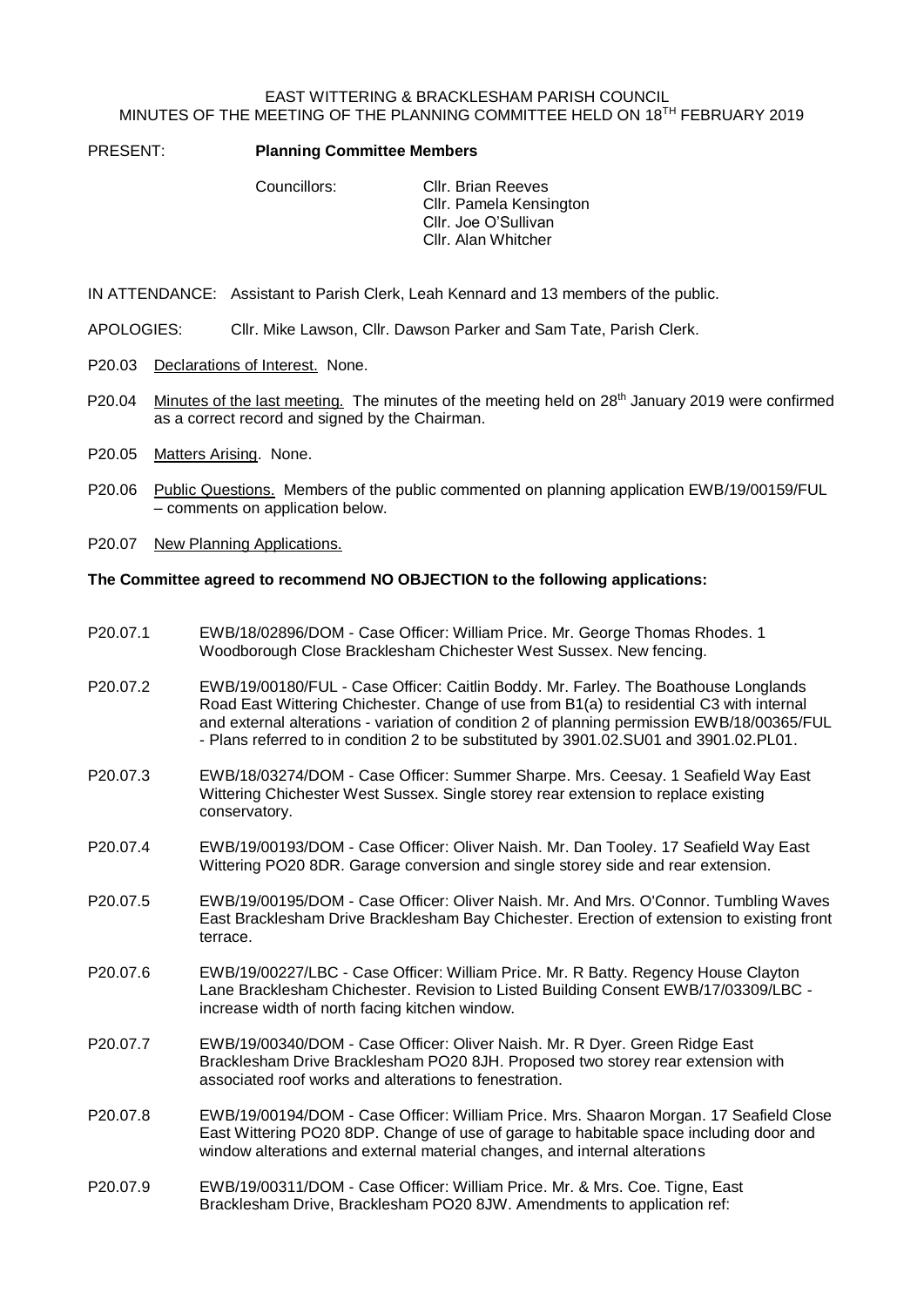# EAST WITTERING & BRACKLESHAM PARISH COUNCIL MINUTES OF THE MEETING OF THE PLANNING COMMITTEE HELD ON 18TH FEBRUARY 2019

#### PRESENT: **Planning Committee Members**

| Councillors: | Cllr. Brian Reeves<br>Cllr. Pamela Kensington<br>Cllr. Joe O'Sullivan<br>Cllr. Alan Whitcher |
|--------------|----------------------------------------------------------------------------------------------|
|              |                                                                                              |

IN ATTENDANCE: Assistant to Parish Clerk, Leah Kennard and 13 members of the public.

- APOLOGIES: Cllr. Mike Lawson, Cllr. Dawson Parker and Sam Tate, Parish Clerk.
- P20.03 Declarations of Interest. None.
- P20.04 Minutes of the last meeting. The minutes of the meeting held on 28<sup>th</sup> January 2019 were confirmed as a correct record and signed by the Chairman.
- P20.05 Matters Arising. None.
- P20.06 Public Questions. Members of the public commented on planning application EWB/19/00159/FUL – comments on application below.
- P20.07 New Planning Applications.

#### **The Committee agreed to recommend NO OBJECTION to the following applications:**

- P20.07.1 EWB/18/02896/DOM Case Officer: William Price. Mr. George Thomas Rhodes. 1 Woodborough Close Bracklesham Chichester West Sussex. New fencing.
- P20.07.2 EWB/19/00180/FUL Case Officer: Caitlin Boddy. Mr. Farley. The Boathouse Longlands Road East Wittering Chichester. Change of use from B1(a) to residential C3 with internal and external alterations - variation of condition 2 of planning permission EWB/18/00365/FUL - Plans referred to in condition 2 to be substituted by 3901.02.SU01 and 3901.02.PL01.
- P20.07.3 EWB/18/03274/DOM Case Officer: Summer Sharpe. Mrs. Ceesay. 1 Seafield Way East Wittering Chichester West Sussex. Single storey rear extension to replace existing conservatory.
- P20.07.4 EWB/19/00193/DOM Case Officer: Oliver Naish. Mr. Dan Tooley. 17 Seafield Way East Wittering PO20 8DR. Garage conversion and single storey side and rear extension.
- P20.07.5 EWB/19/00195/DOM Case Officer: Oliver Naish. Mr. And Mrs. O'Connor. Tumbling Waves East Bracklesham Drive Bracklesham Bay Chichester. Erection of extension to existing front terrace.
- P20.07.6 EWB/19/00227/LBC Case Officer: William Price. Mr. R Batty. Regency House Clayton Lane Bracklesham Chichester. Revision to Listed Building Consent EWB/17/03309/LBC increase width of north facing kitchen window.
- P20.07.7 EWB/19/00340/DOM Case Officer: Oliver Naish. Mr. R Dyer. Green Ridge East Bracklesham Drive Bracklesham PO20 8JH. Proposed two storey rear extension with associated roof works and alterations to fenestration.
- P20.07.8 EWB/19/00194/DOM Case Officer: William Price. Mrs. Shaaron Morgan. 17 Seafield Close East Wittering PO20 8DP. Change of use of garage to habitable space including door and window alterations and external material changes, and internal alterations
- P20.07.9 EWB/19/00311/DOM Case Officer: William Price. Mr. & Mrs. Coe. Tigne, East Bracklesham Drive, Bracklesham PO20 8JW. Amendments to application ref: